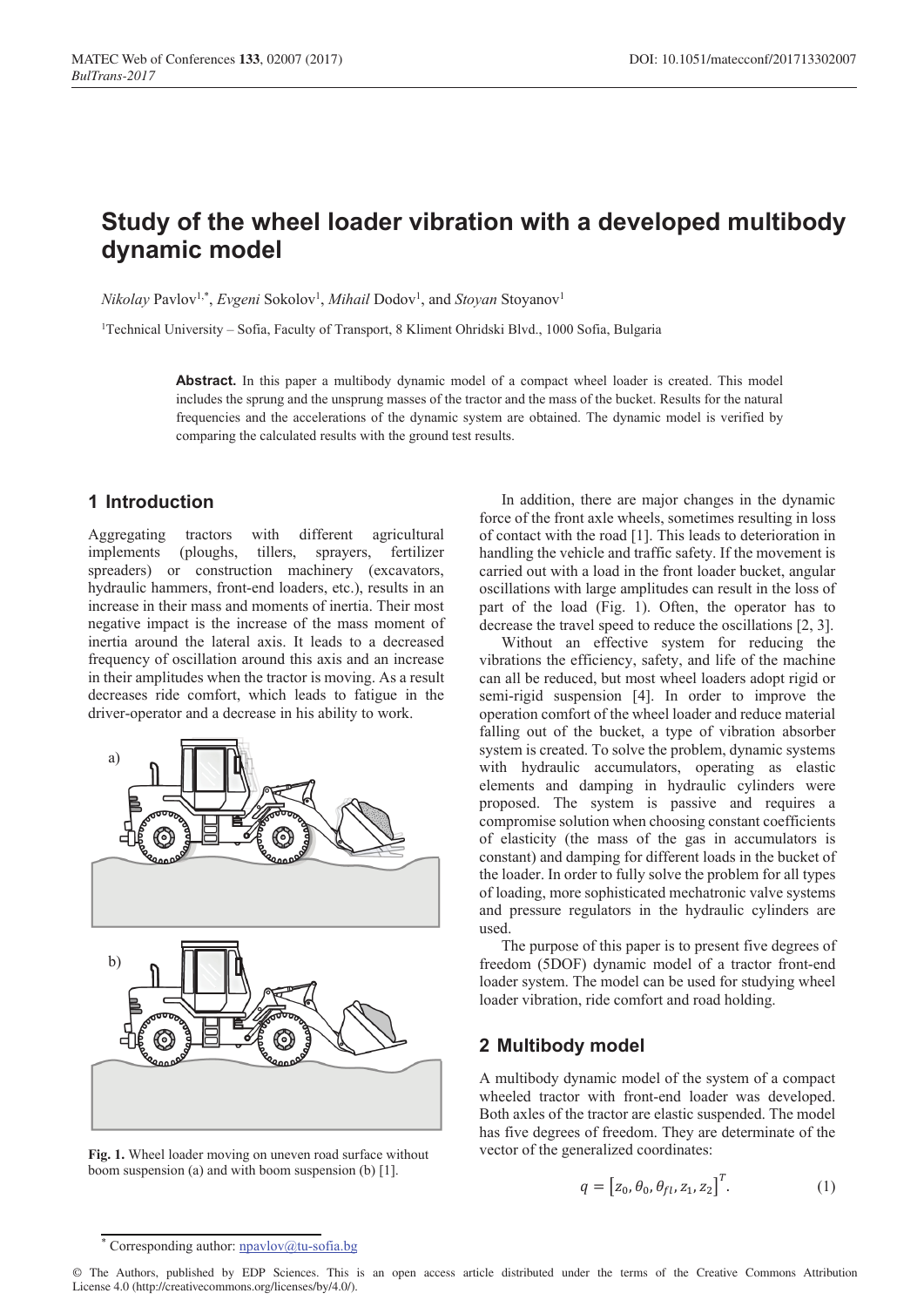# **Study of the wheel loader vibration with a developed multibody dynamic model**

*Nikolay* Pavlov<sup>1,\*</sup>, *Evgeni* Sokolov<sup>1</sup>, *Mihail* Dodov<sup>1</sup>, and *Stoyan* Stoyanov<sup>1</sup>

<sup>1</sup>Technical University – Sofia, Faculty of Transport, 8 Kliment Ohridski Blvd., 1000 Sofia, Bulgaria

**Abstract.** In this paper a multibody dynamic model of a compact wheel loader is created. This model includes the sprung and the unsprung masses of the tractor and the mass of the bucket. Results for the natural frequencies and the accelerations of the dynamic system are obtained. The dynamic model is verified by comparing the calculated results with the ground test results.

### **1 Introduction**

Aggregating tractors with different agricultural implements (ploughs, tillers, sprayers, fertilizer spreaders) or construction machinery (excavators, hydraulic hammers, front-end loaders, etc.), results in an increase in their mass and moments of inertia. Their most negative impact is the increase of the mass moment of inertia around the lateral axis. It leads to a decreased frequency of oscillation around this axis and an increase in their amplitudes when the tractor is moving. As a result decreases ride comfort, which leads to fatigue in the driver-operator and a decrease in his ability to work.



**Fig. 1.** Wheel loader moving on uneven road surface without boom suspension (a) and with boom suspension (b) [1].

In addition, there are major changes in the dynamic force of the front axle wheels, sometimes resulting in loss of contact with the road [1]. This leads to deterioration in handling the vehicle and traffic safety. If the movement is carried out with a load in the front loader bucket, angular oscillations with large amplitudes can result in the loss of part of the load (Fig. 1). Often, the operator has to decrease the travel speed to reduce the oscillations [2, 3].

Without an effective system for reducing the vibrations the efficiency, safety, and life of the machine can all be reduced, but most wheel loaders adopt rigid or semi-rigid suspension [4]. In order to improve the operation comfort of the wheel loader and reduce material falling out of the bucket, a type of vibration absorber system is created. To solve the problem, dynamic systems with hydraulic accumulators, operating as elastic elements and damping in hydraulic cylinders were proposed. The system is passive and requires a compromise solution when choosing constant coefficients of elasticity (the mass of the gas in accumulators is constant) and damping for different loads in the bucket of the loader. In order to fully solve the problem for all types of loading, more sophisticated mechatronic valve systems and pressure regulators in the hydraulic cylinders are used.

The purpose of this paper is to present five degrees of freedom (5DOF) dynamic model of a tractor front-end loader system. The model can be used for studying wheel loader vibration, ride comfort and road holding.

#### **2 Multibody model**

A multibody dynamic model of the system of a compact wheeled tractor with front-end loader was developed. Both axles of the tractor are elastic suspended. The model has five degrees of freedom. They are determinate of the vector of the generalized coordinates:

$$
q = \left[z_0, \theta_0, \theta_{fl}, z_1, z_2\right]^T. \tag{1}
$$

<sup>\*</sup> Corresponding author: npavlov@tu-sofia.bg

<sup>©</sup> The Authors, published by EDP Sciences. This is an open access article distributed under the terms of the Creative Commons Attribution License 4.0 (http://creativecommons.org/licenses/by/4.0/).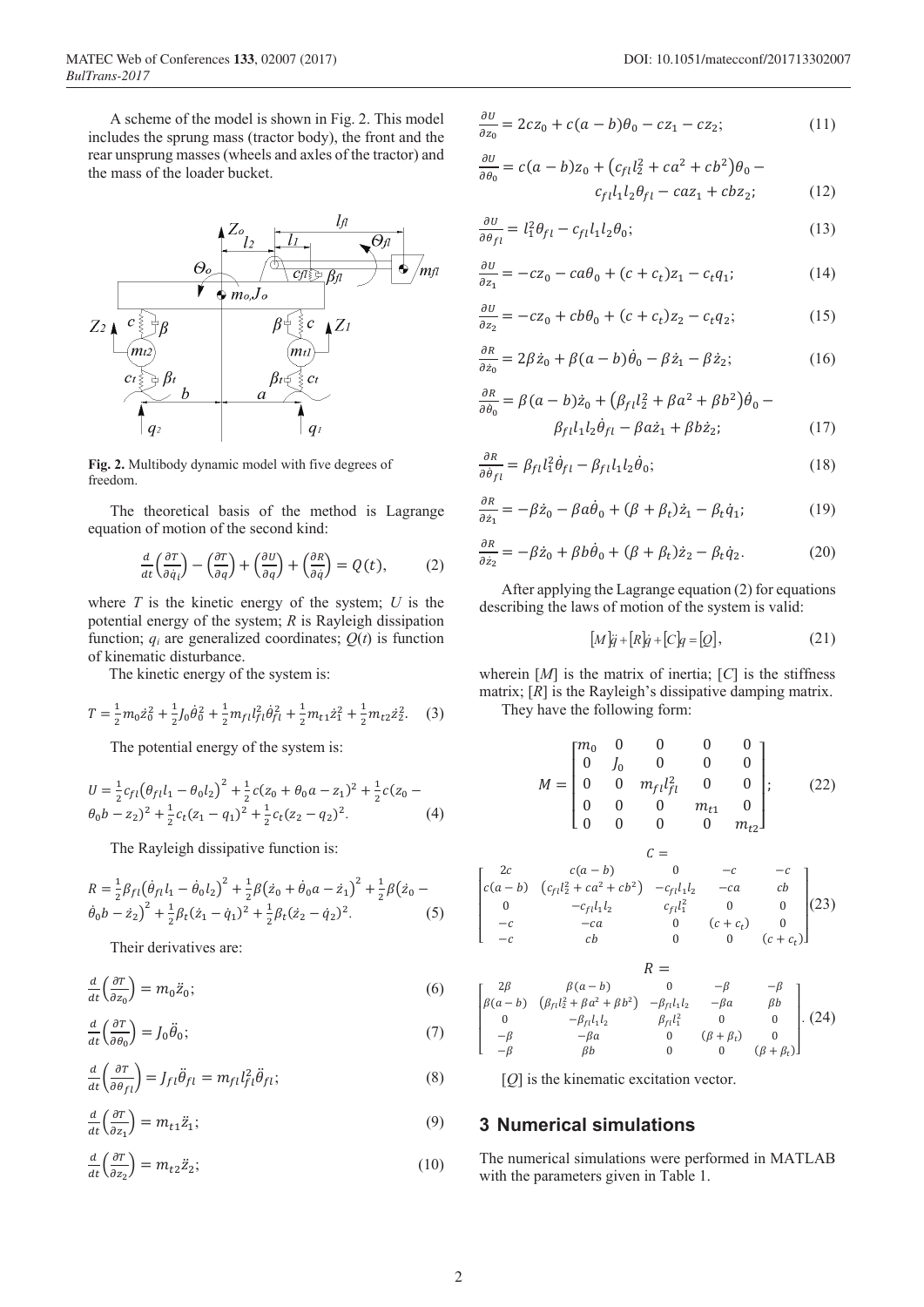A scheme of the model is shown in Fig. 2. This model includes the sprung mass (tractor body), the front and the rear unsprung masses (wheels and axles of the tractor) and the mass of the loader bucket.



Fig. 2. Multibody dynamic model with five degrees of freedom.

The theoretical basis of the method is Lagrange equation of motion of the second kind:

$$
\frac{d}{dt}\left(\frac{\partial T}{\partial \dot{q}_i}\right) - \left(\frac{\partial T}{\partial q}\right) + \left(\frac{\partial U}{\partial q}\right) + \left(\frac{\partial R}{\partial \dot{q}}\right) = Q(t),\tag{2}
$$

where  $T$  is the kinetic energy of the system;  $U$  is the potential energy of the system;  $R$  is Rayleigh dissipation function;  $q_i$  are generalized coordinates;  $Q(t)$  is function of kinematic disturbance.

The kinetic energy of the system is:

$$
T = \frac{1}{2}m_0\dot{z}_0^2 + \frac{1}{2}J_0\dot{\theta}_0^2 + \frac{1}{2}m_{fl}l_{fl}^2\dot{\theta}_{fl}^2 + \frac{1}{2}m_{t1}\dot{z}_1^2 + \frac{1}{2}m_{t2}\dot{z}_2^2.
$$
 (3)

The potential energy of the system is:

$$
U = \frac{1}{2}c_{fl}(\theta_{fl}l_1 - \theta_0l_2)^2 + \frac{1}{2}c(z_0 + \theta_0a - z_1)^2 + \frac{1}{2}c(z_0 - \theta_0b - z_2)^2 + \frac{1}{2}c_t(z_1 - q_1)^2 + \frac{1}{2}c_t(z_2 - q_2)^2.
$$
 (4)

The Rayleigh dissipative function is:

$$
R = \frac{1}{2}\beta_{fl}(\dot{\theta}_{fl}l_1 - \dot{\theta}_0l_2)^2 + \frac{1}{2}\beta(\dot{z}_0 + \dot{\theta}_0a - \dot{z}_1)^2 + \frac{1}{2}\beta(\dot{z}_0 - \dot{\theta}_0b - \dot{z}_2)^2 + \frac{1}{2}\beta_t(\dot{z}_1 - \dot{q}_1)^2 + \frac{1}{2}\beta_t(\dot{z}_2 - \dot{q}_2)^2.
$$
 (5)

Their derivatives are:

$$
\frac{d}{dt}\left(\frac{\partial T}{\partial z_0}\right) = m_0 \ddot{z}_0; \tag{6}
$$

$$
\frac{d}{dt}\left(\frac{\partial T}{\partial \theta_0}\right) = J_0 \ddot{\theta}_0; \tag{7}
$$

$$
\frac{d}{dt}\left(\frac{\partial T}{\partial \theta_{fl}}\right) = J_{fl}\ddot{\theta}_{fl} = m_{fl}l_{fl}^2\ddot{\theta}_{fl};
$$
\n(8)

$$
\frac{d}{dt}\left(\frac{\partial T}{\partial z_1}\right) = m_{t1}\ddot{z}_1;\tag{9}
$$

$$
\frac{d}{dt}\left(\frac{\partial T}{\partial z_2}\right) = m_{t2}\ddot{z}_2;\tag{10}
$$

$$
\frac{\partial v}{\partial z_0} = 2cz_0 + c(a-b)\theta_0 - cz_1 - cz_2; \tag{11}
$$

$$
\frac{\partial U}{\partial \theta_0} = c(a-b)z_0 + (c_{fl}l_2^2 + ca^2 + cb^2)\theta_0 - c_{fl}l_1l_2\theta_{fl} - caz_1 + cbz_2; \tag{12}
$$

$$
\frac{\partial U}{\partial \theta_{fl}} = l_1^2 \theta_{fl} - c_{fl} l_1 l_2 \theta_0; \tag{13}
$$

$$
\frac{\partial U}{\partial z_1} = -cz_0 - ca\theta_0 + (c + c_t)z_1 - c_t q_1; \tag{14}
$$

$$
\frac{\partial U}{\partial z_2} = -cz_0 + cb\theta_0 + (c + c_t)z_2 - c_t q_2;\tag{15}
$$

$$
\frac{\partial R}{\partial \dot{z}_0} = 2\beta \dot{z}_0 + \beta (a - b)\dot{\theta}_0 - \beta \dot{z}_1 - \beta \dot{z}_2; \tag{16}
$$

$$
\frac{\partial R}{\partial \dot{\theta}_0} = \beta (a - b)\dot{z}_0 + (\beta_{fl}l_2^2 + \beta a^2 + \beta b^2)\dot{\theta}_0 -
$$
  

$$
\beta_{fl}l_1l_2\dot{\theta}_{fl} - \beta a\dot{z}_1 + \beta b\dot{z}_2;
$$
 (17)

$$
\frac{\partial R}{\partial \dot{\theta}_{fl}} = \beta_{fl} l_1^2 \dot{\theta}_{fl} - \beta_{fl} l_1 l_2 \dot{\theta}_0; \tag{18}
$$

$$
\frac{\partial R}{\partial \dot{z}_1} = -\beta \dot{z}_0 - \beta a \dot{\theta}_0 + (\beta + \beta_t) \dot{z}_1 - \beta_t \dot{q}_1; \tag{19}
$$

$$
\frac{\partial R}{\partial \dot{z}_2} = -\beta \dot{z}_0 + \beta b \dot{\theta}_0 + (\beta + \beta_t) \dot{z}_2 - \beta_t \dot{q}_2.
$$
 (20)

After applying the Lagrange equation (2) for equations describing the laws of motion of the system is valid:

$$
[M]\ddot{q} + [R]\dot{q} + [C]q = [Q],\tag{21}
$$

wherein  $[M]$  is the matrix of inertia;  $[C]$  is the stiffness matrix;  $[R]$  is the Rayleigh's dissipative damping matrix. They have the following form:

$$
M = \begin{bmatrix} m_0 & 0 & 0 & 0 & 0 \\ 0 & J_0 & 0 & 0 & 0 \\ 0 & 0 & m_{fl}l_{fl}^2 & 0 & 0 \\ 0 & 0 & 0 & m_{t1} & 0 \\ 0 & 0 & 0 & 0 & m_{t2} \end{bmatrix};
$$
 (22)

$$
C = C
$$
  
\n
$$
c(a - b) \t 0 \t -c \t -c
$$
  
\n
$$
c(a - b) \t (c_{fl}l_2^2 + ca^2 + cb^2) \t -c_{fl}l_1l_2 \t -ca \t cb
$$
  
\n
$$
0 \t -c_{fl}l_1l_2 \t c_{fl}l_1^2 \t 0 \t 0
$$
  
\n
$$
-c \t ab \t 0 \t (c + c_t) \t 0
$$
  
\n
$$
-c \t cb \t 0 \t 0 \t (c + c_t)
$$

$$
R = \n\begin{bmatrix}\n2\beta & \beta(a-b) & 0 & -\beta & -\beta \\
\beta(a-b) & (\beta_{fl}l_2^2 + \beta a^2 + \beta b^2) & -\beta_{fl}l_1l_2 & -\beta a & \beta b \\
0 & -\beta_{fl}l_1l_2 & \beta_{fl}l_1^2 & 0 & 0 \\
-\beta & -\beta a & 0 & (\beta + \beta_t) & 0 \\
-\beta & \beta b & 0 & 0 & (\beta + \beta_t)\n\end{bmatrix}.\n\tag{24}
$$

 $[O]$  is the kinematic excitation vector.

#### **3 Numerical simulations**

The numerical simulations were performed in MATLAB with the parameters given in Table 1.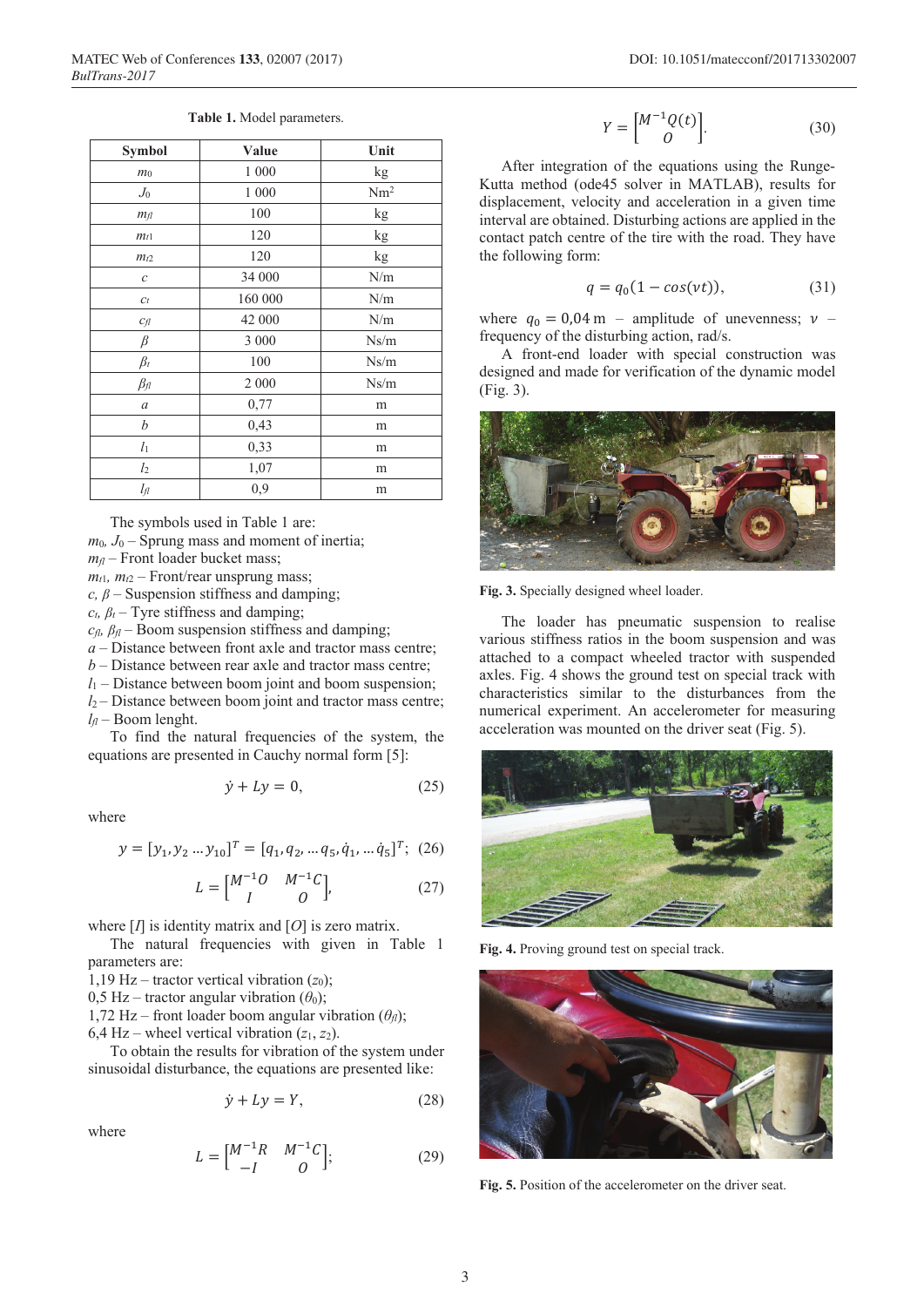|  |  |  | Table 1. Model parameters. |
|--|--|--|----------------------------|
|--|--|--|----------------------------|

| Symbol         | Value   | Unit            |
|----------------|---------|-----------------|
| m <sub>0</sub> | 1 000   | kg              |
| $J_0$          | 1 000   | Nm <sup>2</sup> |
| m <sub>f</sub> | 100     | kg              |
| $m_{t1}$       | 120     | kg              |
| $m_{t2}$       | 120     | kg              |
| С              | 34 000  | N/m             |
| $C_t$          | 160 000 | N/m             |
| $C_{fl}$       | 42 000  | N/m             |
| $\beta$        | 3 000   | Ns/m            |
| $\beta_t$      | 100     | Ns/m            |
| $\beta_{fl}$   | 2 0 0 0 | Ns/m            |
| a              | 0,77    | m               |
| b              | 0,43    | m               |
| $l_1$          | 0,33    | m               |
| l <sub>2</sub> | 1,07    | m               |
| lя             | 0,9     | m               |

The symbols used in Table 1 are:

 $m_0$ ,  $J_0$  – Sprung mass and moment of inertia;

 $m<sub>f</sub>$  – Front loader bucket mass;

 $m_{t1}$ ,  $m_{t2}$  – Front/rear unsprung mass;

*c,*  $\beta$  – Suspension stiffness and damping;

 $c_t$ ,  $\beta_t$  – Tyre stiffness and damping;

 $c_{\text{fl}}$ ,  $\beta_{\text{fl}}$  – Boom suspension stiffness and damping;

*a* – Distance between front axle and tractor mass centre;

*b* – Distance between rear axle and tractor mass centre;

 $l_1$  – Distance between boom joint and boom suspension;

*l*<sup>2</sup> – Distance between boom joint and tractor mass centre;  $l_f$  – Boom lenght.

To find the natural frequencies of the system, the equations are presented in Cauchy normal form [5]:

$$
\dot{y} + Ly = 0,\tag{25}
$$

where

$$
y = [y_1, y_2 \dots y_{10}]^T = [q_1, q_2, \dots q_5, \dot{q}_1, \dots \dot{q}_5]^T; (26)
$$

$$
L = \begin{bmatrix} M^{-1}O & M^{-1}C \\ I & O \end{bmatrix},
$$
 (27)

where [*I*] is identity matrix and [*O*] is zero matrix.

The natural frequencies with given in Table 1 parameters are:

1,19 Hz – tractor vertical vibration  $(z_0)$ ;

0,5 Hz – tractor angular vibration  $(\theta_0)$ ;

1,72 Hz – front loader boom angular vibration  $(\theta_{\eta})$ ;

6,4 Hz – wheel vertical vibration  $(z_1, z_2)$ .

To obtain the results for vibration of the system under sinusoidal disturbance, the equations are presented like:

$$
\dot{y} + Ly = Y,\tag{28}
$$

where

$$
L = \begin{bmatrix} M^{-1}R & M^{-1}C \\ -I & 0 \end{bmatrix};
$$
 (29)

$$
Y = \begin{bmatrix} M^{-1}Q(t) \\ 0 \end{bmatrix}.
$$
 (30)

After integration of the equations using the Runge-Kutta method (ode45 solver in MATLAB), results for displacement, velocity and acceleration in a given time interval are obtained. Disturbing actions are applied in the contact patch centre of the tire with the road. They have the following form:

$$
q = q_0(1 - \cos(vt)), \tag{31}
$$

where  $q_0 = 0.04$  m – amplitude of unevenness;  $\nu$  – frequency of the disturbing action, rad/s.

A front-end loader with special construction was designed and made for verification of the dynamic model (Fig. 3).



**Fig. 3.** Specially designed wheel loader.

The loader has pneumatic suspension to realise various stiffness ratios in the boom suspension and was attached to a compact wheeled tractor with suspended axles. Fig. 4 shows the ground test on special track with characteristics similar to the disturbances from the numerical experiment. An accelerometer for measuring acceleration was mounted on the driver seat (Fig. 5).



**Fig. 4.** Proving ground test on special track.



**Fig. 5.** Position of the accelerometer on the driver seat.